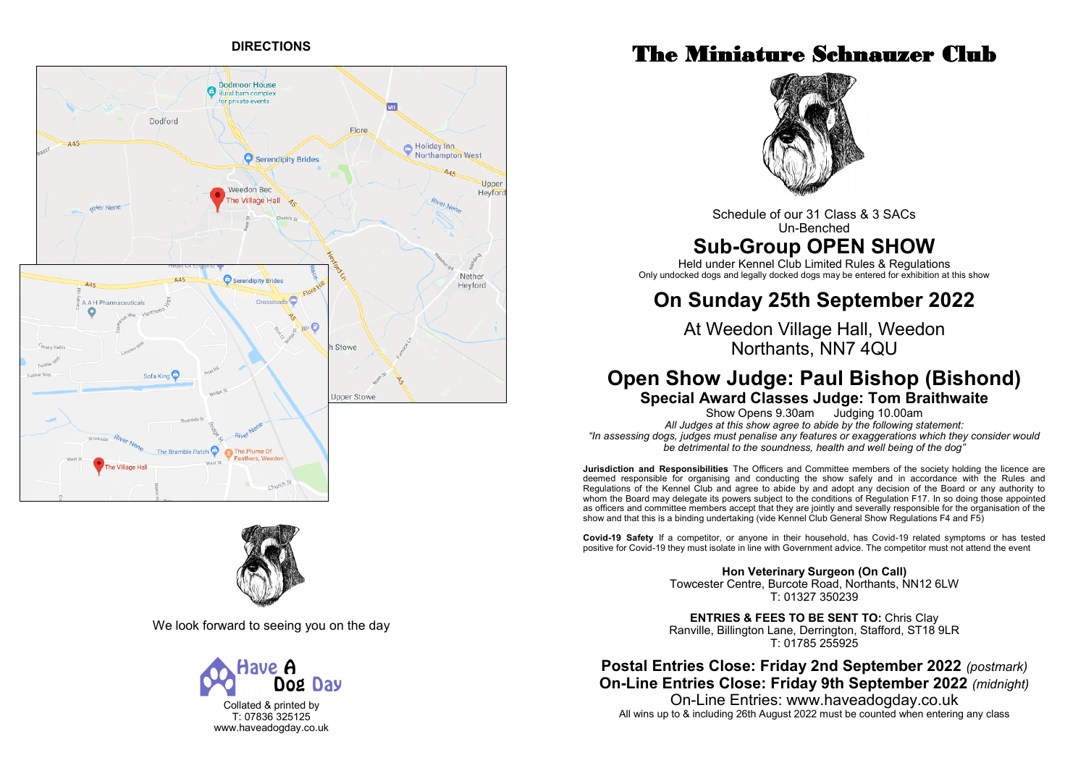# **DIRECTIONS**





We look forward to seeing you on the day



Collated & printed by T: 07836 325125 www.haveadogday.co.uk

# The Miniature Schnauzer Club



Schedule of our 31 Class & 3 SACs Un-Benched

# **Sub-Group OPEN SHOW**

Held under Kennel Club Limited Rules & Regulations Only undocked dogs and legally docked dogs may be entered for exhibition at this show

# **On Sunday 25th September 2022**

At Weedon Village Hall, Weedon Northants, NN7 4QU

# **Open Show Judge: Paul Bishop (Bishond) Special Award Classes Judge: Tom Braithwaite**

Show Opens 9.30am Judging 10.00am *All Judges at this show agree to abide by the following statement: "In assessing dogs, judges must penalise any features or exaggerations which they consider would be detrimental to the soundness, health and well being of the dog"*

**Jurisdiction and Responsibilities** The Officers and Committee members of the society holding the licence are deemed responsible for organising and conducting the show safely and in accordance with the Rules and Regulations of the Kennel Club and agree to abide by and adopt any decision of the Board or any authority to whom the Board may delegate its powers subject to the conditions of Regulation F17. In so doing those appointed as officers and committee members accept that they are jointly and severally responsible for the organisation of the show and that this is a binding undertaking (vide Kennel Club General Show Regulations F4 and F5)

**Covid-19 Safety** If a competitor, or anyone in their household, has Covid-19 related symptoms or has tested positive for Covid-19 they must isolate in line with Government advice. The competitor must not attend the event

> **Hon Veterinary Surgeon (On Call)** Towcester Centre, Burcote Road, Northants, NN12 6LW T: 01327 350239

> **ENTRIES & FEES TO BE SENT TO:** Chris Clay Ranville, Billington Lane, Derrington, Stafford, ST18 9LR T: 01785 255925

**Postal Entries Close: Friday 2nd September 2022** *(postmark)* **On-Line Entries Close: Friday 9th September 2022** *(midnight)* On-Line Entries: www.haveadogday.co.uk

All wins up to & including 26th August 2022 must be counted when entering any class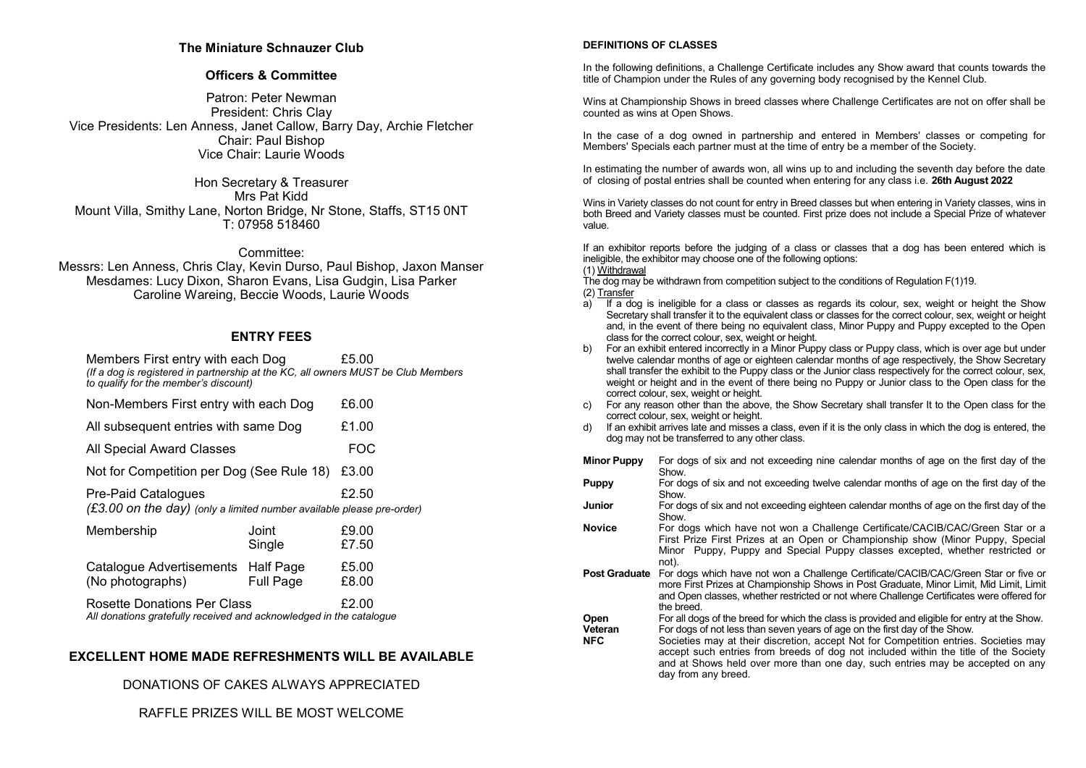## **The Miniature Schnauzer Club**

## **Officers & Committee**

Patron: Peter Newman President: Chris Clay Vice Presidents: Len Anness, Janet Callow, Barry Day, Archie Fletcher Chair: Paul Bishop Vice Chair: Laurie Woods

Hon Secretary & Treasurer Mrs Pat Kidd Mount Villa, Smithy Lane, Norton Bridge, Nr Stone, Staffs, ST15 0NT T: 07958 518460

### Committee:

Messrs: Len Anness, Chris Clay, Kevin Durso, Paul Bishop, Jaxon Manser Mesdames: Lucy Dixon, Sharon Evans, Lisa Gudgin, Lisa Parker Caroline Wareing, Beccie Woods, Laurie Woods

# **ENTRY FEES**

Members First entry with each Dog E5.00 *(If a dog is registered in partnership at the KC, all owners MUST be Club Members to qualify for the member's discount)*

|  |  | Non-Members First entry with each Dog | £6.00 |
|--|--|---------------------------------------|-------|
|--|--|---------------------------------------|-------|

- All subsequent entries with same Dog E1.00
- All Special Award Classes **FOC**
- Not for Competition per Dog (See Rule 18) £3.00

Pre-Paid Catalogues **E2.50** *(£3.00 on the day) (only a limited number available please pre-order)* 

| Membership                                                                                                | Joint<br>Single  | £9.00<br>£7.50 |
|-----------------------------------------------------------------------------------------------------------|------------------|----------------|
| Catalogue Advertisements Half Page<br>(No photographs)                                                    | <b>Full Page</b> | £5.00<br>£8.00 |
| <b>Rosette Donations Per Class</b><br>All donations gratefully received and acknowledged in the catalogue |                  | £2.00          |

## **EXCELLENT HOME MADE REFRESHMENTS WILL BE AVAILABLE**

DONATIONS OF CAKES ALWAYS APPRECIATED

RAFFLE PRIZES WILL BE MOST WELCOME

### **DEFINITIONS OF CLASSES**

In the following definitions, a Challenge Certificate includes any Show award that counts towards the title of Champion under the Rules of any governing body recognised by the Kennel Club.

Wins at Championship Shows in breed classes where Challenge Certificates are not on offer shall be counted as wins at Open Shows.

In the case of a dog owned in partnership and entered in Members' classes or competing for Members' Specials each partner must at the time of entry be a member of the Society.

In estimating the number of awards won, all wins up to and including the seventh day before the date of closing of postal entries shall be counted when entering for any class i.e. **26th August 2022**

Wins in Variety classes do not count for entry in Breed classes but when entering in Variety classes, wins in both Breed and Variety classes must be counted. First prize does not include a Special Prize of whatever value.

If an exhibitor reports before the judging of a class or classes that a dog has been entered which is ineligible, the exhibitor may choose one of the following options:

(1) Withdrawal

The dog may be withdrawn from competition subject to the conditions of Regulation F(1)19. (2) Transfer

- a) If a dog is ineligible for a class or classes as regards its colour, sex, weight or height the Show Secretary shall transfer it to the equivalent class or classes for the correct colour, sex, weight or height and, in the event of there being no equivalent class, Minor Puppy and Puppy excepted to the Open class for the correct colour, sex, weight or height.
- b) For an exhibit entered incorrectly in a Minor Puppy class or Puppy class, which is over age but under twelve calendar months of age or eighteen calendar months of age respectively, the Show Secretary shall transfer the exhibit to the Puppy class or the Junior class respectively for the correct colour, sex, weight or height and in the event of there being no Puppy or Junior class to the Open class for the correct colour, sex, weight or height.
- c) For any reason other than the above, the Show Secretary shall transfer It to the Open class for the correct colour, sex, weight or height.
- d) If an exhibit arrives late and misses a class, even if it is the only class in which the dog is entered, the dog may not be transferred to any other class.

**Minor Puppy** For dogs of six and not exceeding nine calendar months of age on the first day of the Show.

**Puppy** For dogs of six and not exceeding twelve calendar months of age on the first day of the Show.

**Junior** For dogs of six and not exceeding eighteen calendar months of age on the first day of the Show.

**Novice** For dogs which have not won a Challenge Certificate/CACIB/CAC/Green Star or a First Prize First Prizes at an Open or Championship show (Minor Puppy, Special Minor Puppy, Puppy and Special Puppy classes excepted, whether restricted or not).

**Post Graduate** For dogs which have not won a Challenge Certificate/CACIB/CAC/Green Star or five or more First Prizes at Championship Shows in Post Graduate, Minor Limit, Mid Limit, Limit and Open classes, whether restricted or not where Challenge Certificates were offered for the breed.

**Open** For all dogs of the breed for which the class is provided and eligible for entry at the Show.<br> **Veteran** For dogs of not less than seven vears of age on the first day of the Show.

**Veteran** For dogs of not less than seven years of age on the first day of the Show.<br>**NFC** Societies may at their discretion, accept Not for Competition entries Societies may at their discretion, accept Not for Competition entries. Societies may accept such entries from breeds of dog not included within the title of the Society and at Shows held over more than one day, such entries may be accepted on any day from any breed.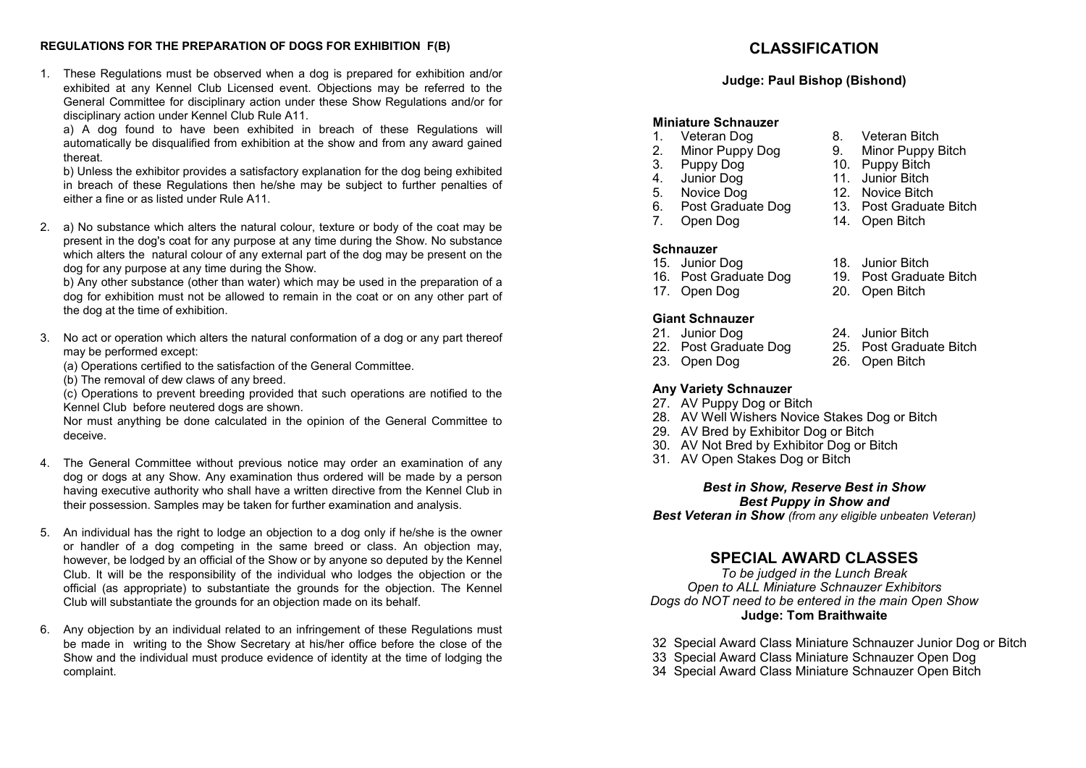## **REGULATIONS FOR THE PREPARATION OF DOGS FOR EXHIBITION F(B)**

1. These Regulations must be observed when a dog is prepared for exhibition and/or exhibited at any Kennel Club Licensed event. Objections may be referred to the General Committee for disciplinary action under these Show Regulations and/or for disciplinary action under Kennel Club Rule A11.

a) A dog found to have been exhibited in breach of these Regulations will automatically be disqualified from exhibition at the show and from any award gained thereat.

b) Unless the exhibitor provides a satisfactory explanation for the dog being exhibited in breach of these Regulations then he/she may be subject to further penalties of either a fine or as listed under Rule A11.

2. a) No substance which alters the natural colour, texture or body of the coat may be present in the dog's coat for any purpose at any time during the Show. No substance which alters the natural colour of any external part of the dog may be present on the dog for any purpose at any time during the Show.

b) Any other substance (other than water) which may be used in the preparation of a dog for exhibition must not be allowed to remain in the coat or on any other part of the dog at the time of exhibition.

- 3. No act or operation which alters the natural conformation of a dog or any part thereof may be performed except:
	- (a) Operations certified to the satisfaction of the General Committee.
	- (b) The removal of dew claws of any breed.

(c) Operations to prevent breeding provided that such operations are notified to the Kennel Club before neutered dogs are shown.

Nor must anything be done calculated in the opinion of the General Committee to deceive.

- 4. The General Committee without previous notice may order an examination of any dog or dogs at any Show. Any examination thus ordered will be made by a person having executive authority who shall have a written directive from the Kennel Club in their possession. Samples may be taken for further examination and analysis.
- 5. An individual has the right to lodge an objection to a dog only if he/she is the owner or handler of a dog competing in the same breed or class. An objection may, however, be lodged by an official of the Show or by anyone so deputed by the Kennel Club. It will be the responsibility of the individual who lodges the objection or the official (as appropriate) to substantiate the grounds for the objection. The Kennel Club will substantiate the grounds for an objection made on its behalf.
- 6. Any objection by an individual related to an infringement of these Regulations must be made in writing to the Show Secretary at his/her office before the close of the Show and the individual must produce evidence of identity at the time of lodging the complaint.

# **CLASSIFICATION**

## **Judge: Paul Bishop (Bishond)**

# **Miniature Schnauzer**

- 1. Veteran Dog 8. Veteran Bitch<br>2. Minor Puppy Dog 9. Minor Puppy Bitch
- 2. Minor Puppy Dog<br>3. Puppy Dog
- 
- 4. Junior Dog 11. Junior Bitch<br>5. Novice Dog 12. Novice Bitch
- 
- 5. Novice Dog 12. Novice Bitch<br>6. Post Graduate Dog 13. Post Graduate Bitch 6. Post Graduate Dog 13. Post Gradua<br>14. Open Dog 14. Open Bitch
- 7. Open Dog

## **Schnauzer**

- 15. Junior Dog 18. Junior Bitch<br>16. Post Graduate Dog 19. Post Graduate Bitch
- 16. Post Graduate Dog<br>17. Open Dog
- 

# **Giant Schnauzer**

- 21. Junior Dog 24. Junior Bitch<br>22. Post Graduate Dog 25. Post Graduate Bitch
- 22. Post Graduate Dog<br>23. Open Dog
- 
- **Any Variety Schnauzer**
- 27. AV Puppy Dog or Bitch
- 28. AV Well Wishers Novice Stakes Dog or Bitch
- 29. AV Bred by Exhibitor Dog or Bitch
- 30. AV Not Bred by Exhibitor Dog or Bitch
- 31. AV Open Stakes Dog or Bitch

## *Best in Show, Reserve Best in Show Best Puppy in Show and*

*Best Veteran in Show (from any eligible unbeaten Veteran)*

# **SPECIAL AWARD CLASSES**

*To be judged in the Lunch Break Open to ALL Miniature Schnauzer Exhibitors Dogs do NOT need to be entered in the main Open Show* **Judge: Tom Braithwaite**

- 32 Special Award Class Miniature Schnauzer Junior Dog or Bitch
- 33 Special Award Class Miniature Schnauzer Open Dog
- 34 Special Award Class Miniature Schnauzer Open Bitch
- 
- 10. Puppy Bitch<br>11. Junior Bitch
- 
- 
- 
- 
- 
- 
- 20. Open Bitch
- 
- 
- 26. Open Bitch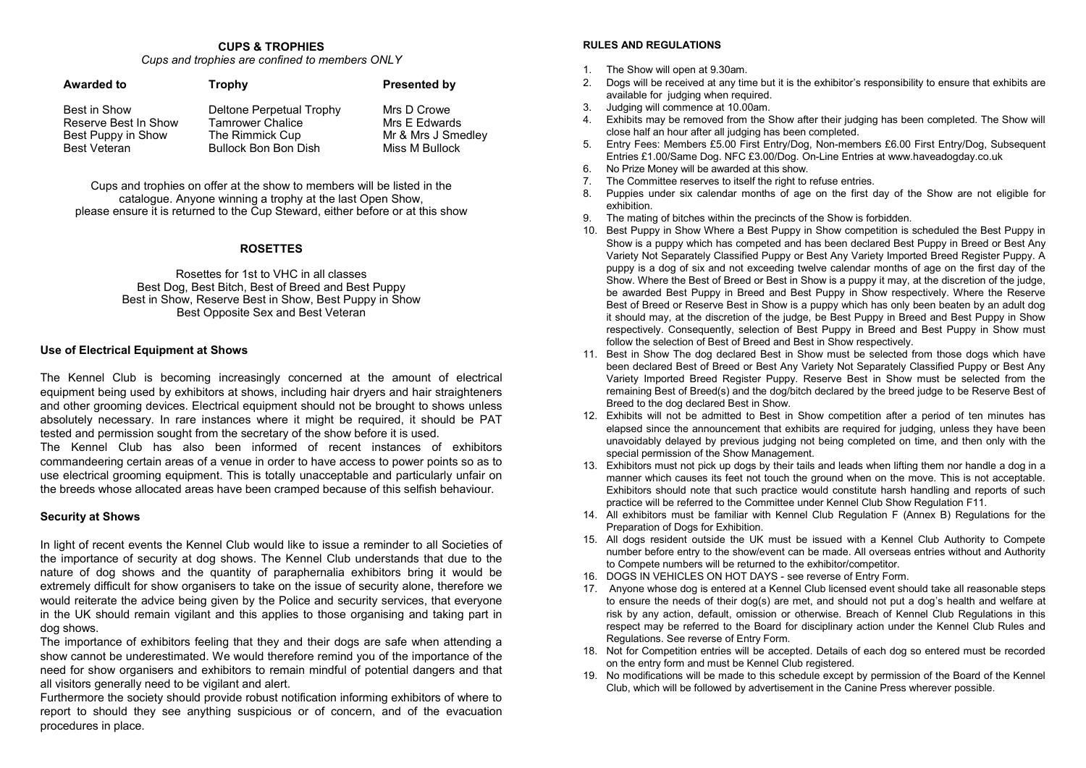#### **CUPS & TROPHIES** *Cups and trophies are confined to members ONLY*

| <b>Awarded to</b>    | Trophy                      | <b>Presented by</b> |
|----------------------|-----------------------------|---------------------|
| Best in Show         | Deltone Perpetual Trophy    | Mrs D Crowe         |
| Reserve Best In Show | <b>Tamrower Chalice</b>     | Mrs E Edwards       |
| Best Puppy in Show   | The Rimmick Cup             | Mr & Mrs J Smedley  |
| <b>Best Veteran</b>  | <b>Bullock Bon Bon Dish</b> | Miss M Bullock      |

Cups and trophies on offer at the show to members will be listed in the catalogue. Anyone winning a trophy at the last Open Show, please ensure it is returned to the Cup Steward, either before or at this show

### **ROSETTES**

Rosettes for 1st to VHC in all classes Best Dog, Best Bitch, Best of Breed and Best Puppy Best in Show, Reserve Best in Show, Best Puppy in Show Best Opposite Sex and Best Veteran

## **Use of Electrical Equipment at Shows**

The Kennel Club is becoming increasingly concerned at the amount of electrical equipment being used by exhibitors at shows, including hair dryers and hair straighteners and other grooming devices. Electrical equipment should not be brought to shows unless absolutely necessary. In rare instances where it might be required, it should be PAT tested and permission sought from the secretary of the show before it is used.

The Kennel Club has also been informed of recent instances of exhibitors commandeering certain areas of a venue in order to have access to power points so as to use electrical grooming equipment. This is totally unacceptable and particularly unfair on the breeds whose allocated areas have been cramped because of this selfish behaviour.

#### **Security at Shows**

In light of recent events the Kennel Club would like to issue a reminder to all Societies of the importance of security at dog shows. The Kennel Club understands that due to the nature of dog shows and the quantity of paraphernalia exhibitors bring it would be extremely difficult for show organisers to take on the issue of security alone, therefore we would reiterate the advice being given by the Police and security services, that everyone in the UK should remain vigilant and this applies to those organising and taking part in dog shows.

The importance of exhibitors feeling that they and their dogs are safe when attending a show cannot be underestimated. We would therefore remind you of the importance of the need for show organisers and exhibitors to remain mindful of potential dangers and that all visitors generally need to be vigilant and alert.

Furthermore the society should provide robust notification informing exhibitors of where to report to should they see anything suspicious or of concern, and of the evacuation procedures in place.

### **RULES AND REGULATIONS**

- 1. The Show will open at 9.30am.
- 2. Dogs will be received at any time but it is the exhibitor's responsibility to ensure that exhibits are available for judging when required.
- 3. Judging will commence at 10.00am.
- Exhibits may be removed from the Show after their judging has been completed. The Show will close half an hour after all judging has been completed.
- 5. Entry Fees: Members £5.00 First Entry/Dog, Non-members £6.00 First Entry/Dog, Subsequent Entries £1.00/Same Dog. NFC £3.00/Dog. On-Line Entries at www.haveadogday.co.uk
- 6. No Prize Money will be awarded at this show.
- 7. The Committee reserves to itself the right to refuse entries.
- 8. Puppies under six calendar months of age on the first day of the Show are not eligible for exhibition.
- 9. The mating of bitches within the precincts of the Show is forbidden.
- 10. Best Puppy in Show Where a Best Puppy in Show competition is scheduled the Best Puppy in Show is a puppy which has competed and has been declared Best Puppy in Breed or Best Any Variety Not Separately Classified Puppy or Best Any Variety Imported Breed Register Puppy. A puppy is a dog of six and not exceeding twelve calendar months of age on the first day of the Show. Where the Best of Breed or Best in Show is a puppy it may, at the discretion of the judge, be awarded Best Puppy in Breed and Best Puppy in Show respectively. Where the Reserve Best of Breed or Reserve Best in Show is a puppy which has only been beaten by an adult dog it should may, at the discretion of the judge, be Best Puppy in Breed and Best Puppy in Show respectively. Consequently, selection of Best Puppy in Breed and Best Puppy in Show must follow the selection of Best of Breed and Best in Show respectively.
- 11. Best in Show The dog declared Best in Show must be selected from those dogs which have been declared Best of Breed or Best Any Variety Not Separately Classified Puppy or Best Any Variety Imported Breed Register Puppy. Reserve Best in Show must be selected from the remaining Best of Breed(s) and the dog/bitch declared by the breed judge to be Reserve Best of Breed to the dog declared Best in Show.
- 12. Exhibits will not be admitted to Best in Show competition after a period of ten minutes has elapsed since the announcement that exhibits are required for judging, unless they have been unavoidably delayed by previous judging not being completed on time, and then only with the special permission of the Show Management.
- 13. Exhibitors must not pick up dogs by their tails and leads when lifting them nor handle a dog in a manner which causes its feet not touch the ground when on the move. This is not acceptable. Exhibitors should note that such practice would constitute harsh handling and reports of such practice will be referred to the Committee under Kennel Club Show Regulation F11.
- 14. All exhibitors must be familiar with Kennel Club Regulation F (Annex B) Regulations for the Preparation of Dogs for Exhibition.
- 15. All dogs resident outside the UK must be issued with a Kennel Club Authority to Compete number before entry to the show/event can be made. All overseas entries without and Authority to Compete numbers will be returned to the exhibitor/competitor.
- 16. DOGS IN VEHICLES ON HOT DAYS see reverse of Entry Form.
- 17. Anyone whose dog is entered at a Kennel Club licensed event should take all reasonable steps to ensure the needs of their dog(s) are met, and should not put a dog's health and welfare at risk by any action, default, omission or otherwise. Breach of Kennel Club Regulations in this respect may be referred to the Board for disciplinary action under the Kennel Club Rules and Regulations. See reverse of Entry Form.
- 18. Not for Competition entries will be accepted. Details of each dog so entered must be recorded on the entry form and must be Kennel Club registered.
- 19. No modifications will be made to this schedule except by permission of the Board of the Kennel Club, which will be followed by advertisement in the Canine Press wherever possible.